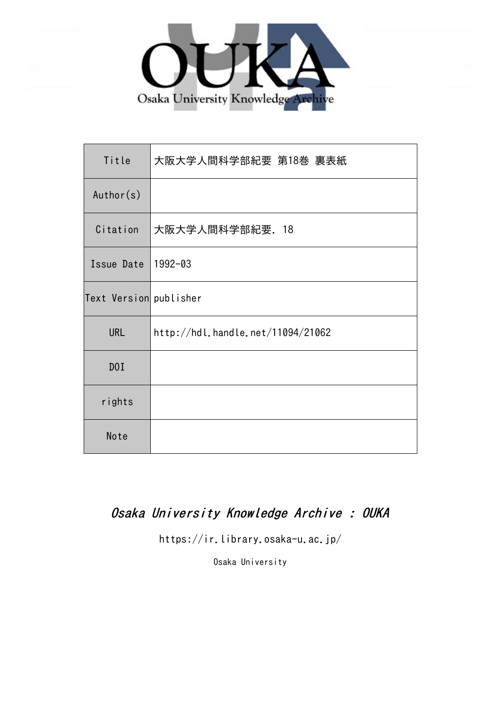

| Title                  | 大阪大学人間科学部紀要 第18巻 裏表紙              |
|------------------------|-----------------------------------|
| Author(s)              |                                   |
| Citation               | 大阪大学人間科学部紀要. 18                   |
| Issue Date             | 1992-03                           |
| Text Version publisher |                                   |
| <b>URL</b>             | http://hdl.handle.net/11094/21062 |
| DOI                    |                                   |
| rights                 |                                   |
| Note                   |                                   |

## Osaka University Knowledge Archive : OUKA

https://ir.library.osaka-u.ac.jp/

Osaka University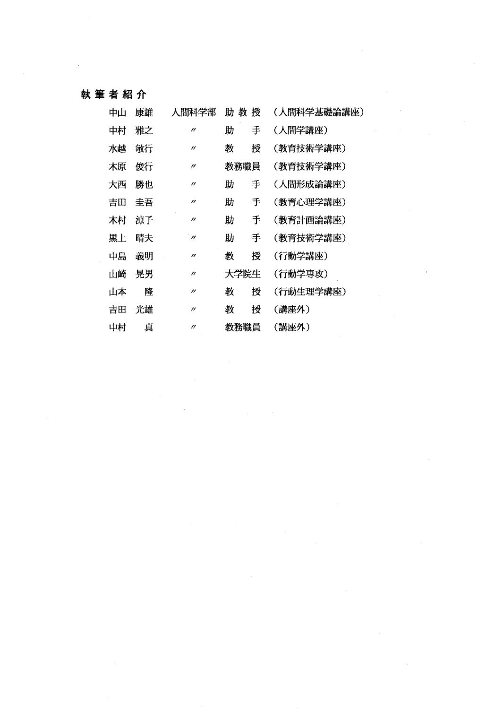### 執筆者紹介

| 中山 | 康雄 | 人間科学部             | 助教授  |   | (人間科学基礎論講座) |
|----|----|-------------------|------|---|-------------|
| 中村 | 雅之 | $^{\prime\prime}$ | 助    | 手 | (人間学講座)     |
| 水越 | 敏行 | $^{\prime\prime}$ | 教    | 授 | (教育技術学講座)   |
| 木原 | 俊行 | $^{\prime\prime}$ | 教務職員 |   | (教育技術学講座)   |
| 大西 | 勝也 | $^{\prime\prime}$ | 助    | 手 | (人間形成論講座)   |
| 吉田 | 丰吾 | "                 | 助    | 手 | (教育心理学講座)   |
| 木村 | 凉子 | $^{\prime\prime}$ | 助    | 手 | (教育計画論講座)   |
| 黒上 | 晴夫 | $^{\prime}$ n     | 助    | 手 | (教育技術学講座)   |
| 中島 | 義明 | $^{\prime\prime}$ | 教    | 授 | (行動学講座)     |
| 山崎 | 晃男 | $^{\prime\prime}$ | 大学院生 |   | (行動学専攻)     |
| 山本 | 降  | $^{\prime\prime}$ | 教    | 授 | (行動生理学講座)   |
| 吉田 | 光雄 | $^{\prime\prime}$ | 教    | 授 | (講座外)       |
| 中村 | 真  | $^{\prime\prime}$ | 教務職員 |   | (講座外)       |

 $\mathcal{L}_{\rm{max}}$ 

 $\bar{\beta}$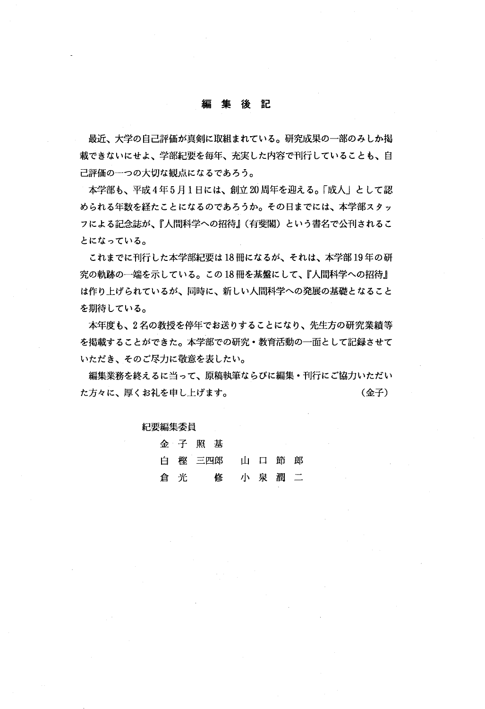#### 編 集 後 記

最近、大学の自己評価が真剣に取組まれている。研究成果の一部のみしか掲 載できないにせよ、学部紀要を毎年、充実した内容で刊行していることも、自 己評価の一つの大切な観点になるであろう。

本学部も、平成4年5月1日には、創立20周年を迎える。「成人」として認 められる年数を経たことになるのであろうか。その日までには、本学部スタッ **フによる記念誌が、『人間科学への招待』(有斐閣)という書名で公刊されるこ** とになっている。

これまでに刊行した本学部紀要は18冊になるが、それは、本学部19年の研 究の軌跡の一端を示している。この18冊を基盤にして、『人間科学への招待』 は作り上げられているが、同時に、新しい人間科学への発展の基礎となること を期待している。

本年度も、2名の教授を停年でお送りすることになり、先生方の研究業績等 を掲載することができた。本学部での研究・教育活動の一面として記録させて いただき、そのご尽力に敬意を表したい。

編集業務を終えるに当って、原稿執筆ならびに編集・刊行にご協力いただい た方々に、厚くお礼を申し上げます。 カランス イングル (金子)

### 紀要編集委員

|     | 金子照基            |  |  |
|-----|-----------------|--|--|
|     | 白 樫 三四郎 山 口 節 郎 |  |  |
| 倉 光 | 修 小泉潤二          |  |  |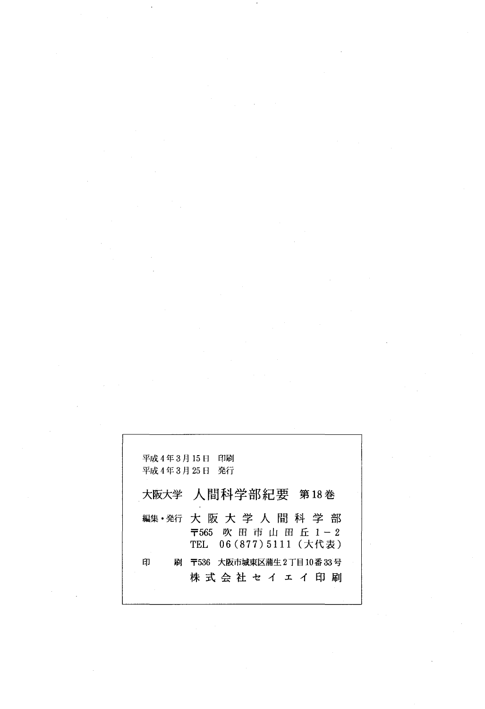|        | 平成 4 年 3 月 15 日 - 印刷<br>平成 4年 3月 25 日 - 発行                         |
|--------|--------------------------------------------------------------------|
|        | 大阪大学 人間科学部紀要 第18巻                                                  |
|        | 編集・発行 大 阪 大 学 人 間 科 学 部<br>〒565 吹田市山田丘1-2<br>TEL 06(877)5111 (大代表) |
| 剧<br>印 | 〒536 大阪市城東区蒲牛2丁目10番 33 号<br>株 式 会 社 セ イ ェ イ 印<br>尉                 |